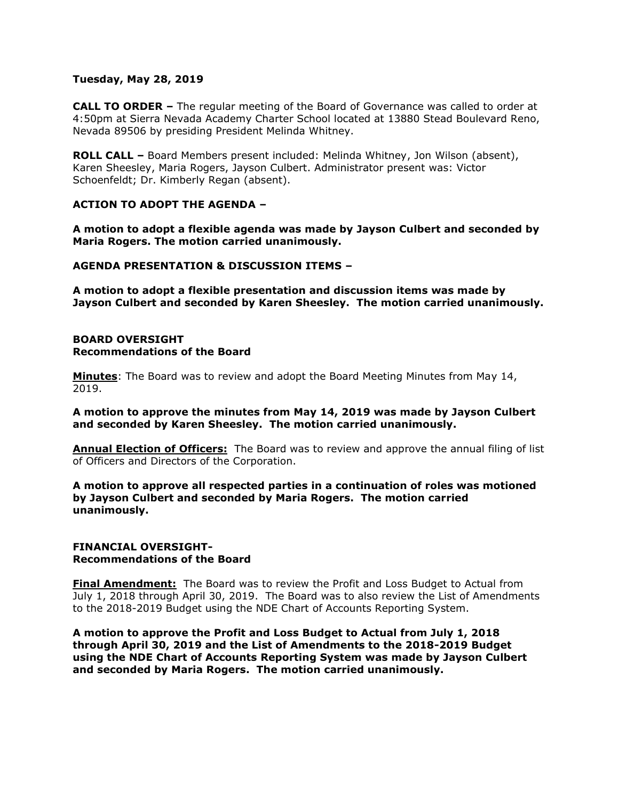## **Tuesday, May 28, 2019**

**CALL TO ORDER –** The regular meeting of the Board of Governance was called to order at 4:50pm at Sierra Nevada Academy Charter School located at 13880 Stead Boulevard Reno, Nevada 89506 by presiding President Melinda Whitney.

**ROLL CALL –** Board Members present included: Melinda Whitney, Jon Wilson (absent), Karen Sheesley, Maria Rogers, Jayson Culbert. Administrator present was: Victor Schoenfeldt; Dr. Kimberly Regan (absent).

# **ACTION TO ADOPT THE AGENDA –**

**A motion to adopt a flexible agenda was made by Jayson Culbert and seconded by Maria Rogers. The motion carried unanimously.** 

## **AGENDA PRESENTATION & DISCUSSION ITEMS –**

**A motion to adopt a flexible presentation and discussion items was made by Jayson Culbert and seconded by Karen Sheesley. The motion carried unanimously.** 

## **BOARD OVERSIGHT Recommendations of the Board**

**Minutes**: The Board was to review and adopt the Board Meeting Minutes from May 14, 2019.

# **A motion to approve the minutes from May 14, 2019 was made by Jayson Culbert and seconded by Karen Sheesley. The motion carried unanimously.**

**Annual Election of Officers:** The Board was to review and approve the annual filing of list of Officers and Directors of the Corporation.

# **A motion to approve all respected parties in a continuation of roles was motioned by Jayson Culbert and seconded by Maria Rogers. The motion carried unanimously.**

#### **FINANCIAL OVERSIGHT-Recommendations of the Board**

**Final Amendment:** The Board was to review the Profit and Loss Budget to Actual from July 1, 2018 through April 30, 2019. The Board was to also review the List of Amendments to the 2018-2019 Budget using the NDE Chart of Accounts Reporting System.

**A motion to approve the Profit and Loss Budget to Actual from July 1, 2018 through April 30, 2019 and the List of Amendments to the 2018-2019 Budget using the NDE Chart of Accounts Reporting System was made by Jayson Culbert and seconded by Maria Rogers. The motion carried unanimously.**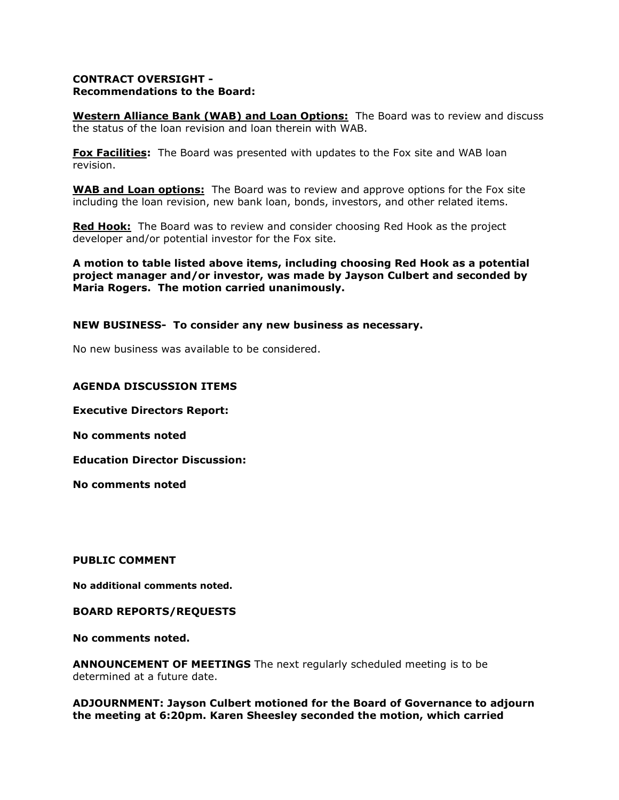# **CONTRACT OVERSIGHT - Recommendations to the Board:**

**Western Alliance Bank (WAB) and Loan Options:** The Board was to review and discuss the status of the loan revision and loan therein with WAB.

**Fox Facilities:** The Board was presented with updates to the Fox site and WAB loan revision.

**WAB and Loan options:** The Board was to review and approve options for the Fox site including the loan revision, new bank loan, bonds, investors, and other related items.

**Red Hook:** The Board was to review and consider choosing Red Hook as the project developer and/or potential investor for the Fox site.

**A motion to table listed above items, including choosing Red Hook as a potential project manager and/or investor, was made by Jayson Culbert and seconded by Maria Rogers. The motion carried unanimously.** 

# **NEW BUSINESS- To consider any new business as necessary.**

No new business was available to be considered.

# **AGENDA DISCUSSION ITEMS**

**Executive Directors Report:** 

**No comments noted**

**Education Director Discussion:** 

**No comments noted** 

**PUBLIC COMMENT**

**No additional comments noted.**

## **BOARD REPORTS/REQUESTS**

**No comments noted.**

**ANNOUNCEMENT OF MEETINGS** The next regularly scheduled meeting is to be determined at a future date.

**ADJOURNMENT: Jayson Culbert motioned for the Board of Governance to adjourn the meeting at 6:20pm. Karen Sheesley seconded the motion, which carried**